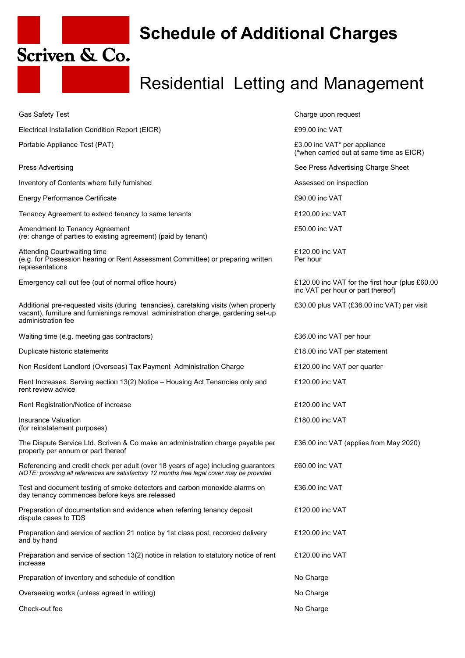

## **Schedule of Additional Charges**

## Residential Letting and Management

| <b>Gas Safety Test</b>                                                                                                                                                                           | Charge upon request                                                                  |
|--------------------------------------------------------------------------------------------------------------------------------------------------------------------------------------------------|--------------------------------------------------------------------------------------|
| Electrical Installation Condition Report (EICR)                                                                                                                                                  | £99.00 inc VAT                                                                       |
| Portable Appliance Test (PAT)                                                                                                                                                                    | £3.00 inc VAT* per appliance<br>(*when carried out at same time as EICR)             |
| <b>Press Advertising</b>                                                                                                                                                                         | See Press Advertising Charge Sheet                                                   |
| Inventory of Contents where fully furnished                                                                                                                                                      | Assessed on inspection                                                               |
| <b>Energy Performance Certificate</b>                                                                                                                                                            | £90.00 inc VAT                                                                       |
| Tenancy Agreement to extend tenancy to same tenants                                                                                                                                              | £120.00 inc VAT                                                                      |
| Amendment to Tenancy Agreement<br>(re: change of parties to existing agreement) (paid by tenant)                                                                                                 | £50.00 inc VAT                                                                       |
| Attending Court/waiting time<br>(e.g. for Possession hearing or Rent Assessment Committee) or preparing written<br>representations                                                               | £120.00 inc VAT<br>Per hour                                                          |
| Emergency call out fee (out of normal office hours)                                                                                                                                              | £120.00 inc VAT for the first hour (plus £60.00<br>inc VAT per hour or part thereof) |
| Additional pre-requested visits (during tenancies), caretaking visits (when property<br>vacant), furniture and furnishings removal administration charge, gardening set-up<br>administration fee | £30.00 plus VAT (£36.00 inc VAT) per visit                                           |
| Waiting time (e.g. meeting gas contractors)                                                                                                                                                      | £36.00 inc VAT per hour                                                              |
| Duplicate historic statements                                                                                                                                                                    | £18.00 inc VAT per statement                                                         |
| Non Resident Landlord (Overseas) Tax Payment Administration Charge                                                                                                                               | £120.00 inc VAT per quarter                                                          |
| Rent Increases: Serving section 13(2) Notice - Housing Act Tenancies only and<br>rent review advice                                                                                              | £120.00 inc VAT                                                                      |
| Rent Registration/Notice of increase                                                                                                                                                             | £120.00 inc VAT                                                                      |
| Insurance Valuation<br>(for reinstatement purposes)                                                                                                                                              | £180.00 inc VAT                                                                      |
| The Dispute Service Ltd. Scriven & Co make an administration charge payable per<br>property per annum or part thereof                                                                            | £36.00 inc VAT (applies from May 2020)                                               |
| Referencing and credit check per adult (over 18 years of age) including guarantors<br>NOTE: providing all references are satisfactory 12 months free legal cover may be provided                 | £60.00 inc VAT                                                                       |
| Test and document testing of smoke detectors and carbon monoxide alarms on<br>day tenancy commences before keys are released                                                                     | £36.00 inc VAT                                                                       |
| Preparation of documentation and evidence when referring tenancy deposit<br>dispute cases to TDS                                                                                                 | £120.00 inc VAT                                                                      |
| Preparation and service of section 21 notice by 1st class post, recorded delivery<br>and by hand                                                                                                 | £120.00 inc VAT                                                                      |
| Preparation and service of section 13(2) notice in relation to statutory notice of rent<br>increase                                                                                              | £120.00 inc VAT                                                                      |
| Preparation of inventory and schedule of condition                                                                                                                                               | No Charge                                                                            |
| Overseeing works (unless agreed in writing)                                                                                                                                                      | No Charge                                                                            |
| Check-out fee                                                                                                                                                                                    | No Charge                                                                            |